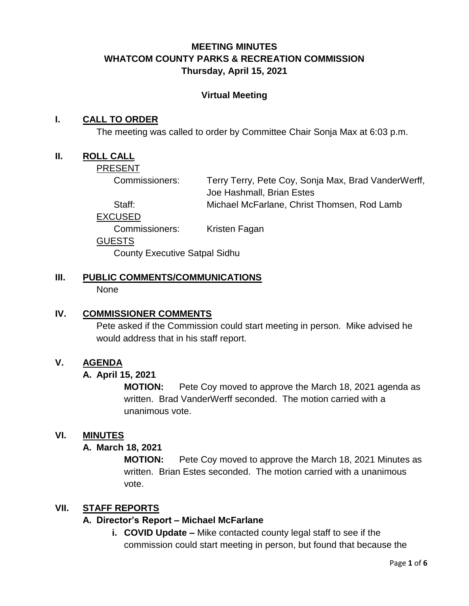# **MEETING MINUTES WHATCOM COUNTY PARKS & RECREATION COMMISSION Thursday, April 15, 2021**

### **Virtual Meeting**

### **I. CALL TO ORDER**

The meeting was called to order by Committee Chair Sonja Max at 6:03 p.m.

#### **II. ROLL CALL**

PRESENT

Commissioners: Terry Terry, Pete Coy, Sonja Max, Brad VanderWerff, Joe Hashmall, Brian Estes Staff: Michael McFarlane, Christ Thomsen, Rod Lamb

EXCUSED

Commissioners: Kristen Fagan

GUESTS

County Executive Satpal Sidhu

# **III. PUBLIC COMMENTS/COMMUNICATIONS**

None

### **IV. COMMISSIONER COMMENTS**

Pete asked if the Commission could start meeting in person. Mike advised he would address that in his staff report.

### **V. AGENDA**

### **A. April 15, 2021**

**MOTION:** Pete Coy moved to approve the March 18, 2021 agenda as written. Brad VanderWerff seconded. The motion carried with a unanimous vote.

### **VI. MINUTES**

### **A. March 18, 2021**

**MOTION:** Pete Coy moved to approve the March 18, 2021 Minutes as written. Brian Estes seconded. The motion carried with a unanimous vote.

### **VII. STAFF REPORTS**

### **A. Director's Report – Michael McFarlane**

**i. COVID Update –** Mike contacted county legal staff to see if the commission could start meeting in person, but found that because the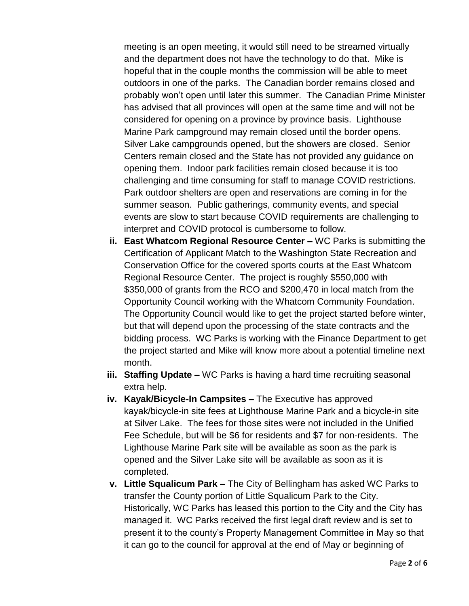meeting is an open meeting, it would still need to be streamed virtually and the department does not have the technology to do that. Mike is hopeful that in the couple months the commission will be able to meet outdoors in one of the parks. The Canadian border remains closed and probably won't open until later this summer. The Canadian Prime Minister has advised that all provinces will open at the same time and will not be considered for opening on a province by province basis. Lighthouse Marine Park campground may remain closed until the border opens. Silver Lake campgrounds opened, but the showers are closed. Senior Centers remain closed and the State has not provided any guidance on opening them. Indoor park facilities remain closed because it is too challenging and time consuming for staff to manage COVID restrictions. Park outdoor shelters are open and reservations are coming in for the summer season. Public gatherings, community events, and special events are slow to start because COVID requirements are challenging to interpret and COVID protocol is cumbersome to follow.

- **ii. East Whatcom Regional Resource Center –** WC Parks is submitting the Certification of Applicant Match to the Washington State Recreation and Conservation Office for the covered sports courts at the East Whatcom Regional Resource Center. The project is roughly \$550,000 with \$350,000 of grants from the RCO and \$200,470 in local match from the Opportunity Council working with the Whatcom Community Foundation. The Opportunity Council would like to get the project started before winter, but that will depend upon the processing of the state contracts and the bidding process. WC Parks is working with the Finance Department to get the project started and Mike will know more about a potential timeline next month.
- **iii. Staffing Update –** WC Parks is having a hard time recruiting seasonal extra help.
- **iv. Kayak/Bicycle-In Campsites –** The Executive has approved kayak/bicycle-in site fees at Lighthouse Marine Park and a bicycle-in site at Silver Lake. The fees for those sites were not included in the Unified Fee Schedule, but will be \$6 for residents and \$7 for non-residents. The Lighthouse Marine Park site will be available as soon as the park is opened and the Silver Lake site will be available as soon as it is completed.
- **v. Little Squalicum Park –** The City of Bellingham has asked WC Parks to transfer the County portion of Little Squalicum Park to the City. Historically, WC Parks has leased this portion to the City and the City has managed it. WC Parks received the first legal draft review and is set to present it to the county's Property Management Committee in May so that it can go to the council for approval at the end of May or beginning of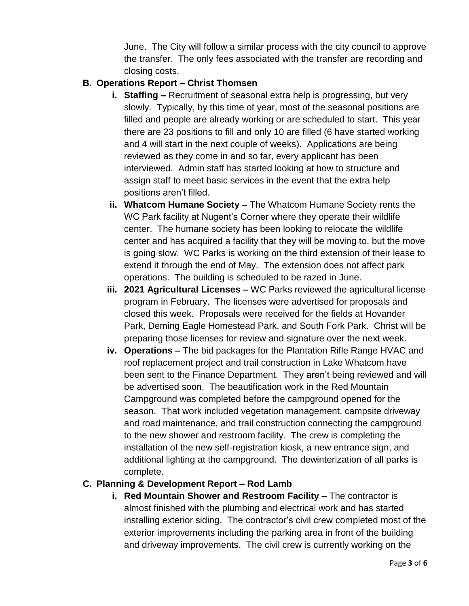June. The City will follow a similar process with the city council to approve the transfer. The only fees associated with the transfer are recording and closing costs.

# **B. Operations Report – Christ Thomsen**

- **i. Staffing –** Recruitment of seasonal extra help is progressing, but very slowly. Typically, by this time of year, most of the seasonal positions are filled and people are already working or are scheduled to start. This year there are 23 positions to fill and only 10 are filled (6 have started working and 4 will start in the next couple of weeks). Applications are being reviewed as they come in and so far, every applicant has been interviewed. Admin staff has started looking at how to structure and assign staff to meet basic services in the event that the extra help positions aren't filled.
- **ii. Whatcom Humane Society –** The Whatcom Humane Society rents the WC Park facility at Nugent's Corner where they operate their wildlife center. The humane society has been looking to relocate the wildlife center and has acquired a facility that they will be moving to, but the move is going slow. WC Parks is working on the third extension of their lease to extend it through the end of May. The extension does not affect park operations. The building is scheduled to be razed in June.
- **iii. 2021 Agricultural Licenses –** WC Parks reviewed the agricultural license program in February. The licenses were advertised for proposals and closed this week. Proposals were received for the fields at Hovander Park, Deming Eagle Homestead Park, and South Fork Park. Christ will be preparing those licenses for review and signature over the next week.
- **iv. Operations –** The bid packages for the Plantation Rifle Range HVAC and roof replacement project and trail construction in Lake Whatcom have been sent to the Finance Department. They aren't being reviewed and will be advertised soon. The beautification work in the Red Mountain Campground was completed before the campground opened for the season. That work included vegetation management, campsite driveway and road maintenance, and trail construction connecting the campground to the new shower and restroom facility. The crew is completing the installation of the new self-registration kiosk, a new entrance sign, and additional lighting at the campground. The dewinterization of all parks is complete.

### **C. Planning & Development Report – Rod Lamb**

**i. Red Mountain Shower and Restroom Facility –** The contractor is almost finished with the plumbing and electrical work and has started installing exterior siding. The contractor's civil crew completed most of the exterior improvements including the parking area in front of the building and driveway improvements. The civil crew is currently working on the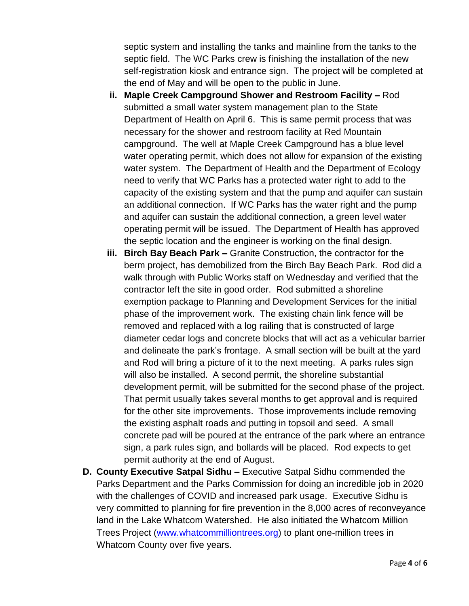septic system and installing the tanks and mainline from the tanks to the septic field. The WC Parks crew is finishing the installation of the new self-registration kiosk and entrance sign. The project will be completed at the end of May and will be open to the public in June.

- **ii. Maple Creek Campground Shower and Restroom Facility –** Rod submitted a small water system management plan to the State Department of Health on April 6. This is same permit process that was necessary for the shower and restroom facility at Red Mountain campground. The well at Maple Creek Campground has a blue level water operating permit, which does not allow for expansion of the existing water system. The Department of Health and the Department of Ecology need to verify that WC Parks has a protected water right to add to the capacity of the existing system and that the pump and aquifer can sustain an additional connection. If WC Parks has the water right and the pump and aquifer can sustain the additional connection, a green level water operating permit will be issued. The Department of Health has approved the septic location and the engineer is working on the final design.
- **iii. Birch Bay Beach Park –** Granite Construction, the contractor for the berm project, has demobilized from the Birch Bay Beach Park. Rod did a walk through with Public Works staff on Wednesday and verified that the contractor left the site in good order. Rod submitted a shoreline exemption package to Planning and Development Services for the initial phase of the improvement work. The existing chain link fence will be removed and replaced with a log railing that is constructed of large diameter cedar logs and concrete blocks that will act as a vehicular barrier and delineate the park's frontage. A small section will be built at the yard and Rod will bring a picture of it to the next meeting. A parks rules sign will also be installed. A second permit, the shoreline substantial development permit, will be submitted for the second phase of the project. That permit usually takes several months to get approval and is required for the other site improvements. Those improvements include removing the existing asphalt roads and putting in topsoil and seed. A small concrete pad will be poured at the entrance of the park where an entrance sign, a park rules sign, and bollards will be placed. Rod expects to get permit authority at the end of August.
- **D. County Executive Satpal Sidhu –** Executive Satpal Sidhu commended the Parks Department and the Parks Commission for doing an incredible job in 2020 with the challenges of COVID and increased park usage. Executive Sidhu is very committed to planning for fire prevention in the 8,000 acres of reconveyance land in the Lake Whatcom Watershed. He also initiated the Whatcom Million Trees Project [\(www.whatcommilliontrees.org\)](http://www.whatcommilliontrees.org/) to plant one-million trees in Whatcom County over five years.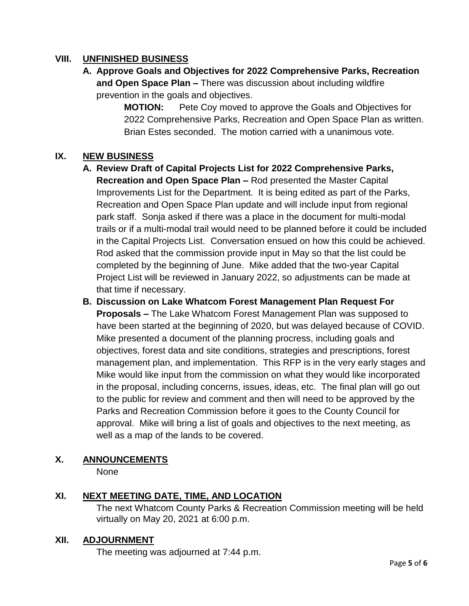# **VIII. UNFINISHED BUSINESS**

**A. Approve Goals and Objectives for 2022 Comprehensive Parks, Recreation and Open Space Plan –** There was discussion about including wildfire prevention in the goals and objectives.

> **MOTION:** Pete Coy moved to approve the Goals and Objectives for 2022 Comprehensive Parks, Recreation and Open Space Plan as written. Brian Estes seconded. The motion carried with a unanimous vote.

# **IX. NEW BUSINESS**

- **A. Review Draft of Capital Projects List for 2022 Comprehensive Parks, Recreation and Open Space Plan –** Rod presented the Master Capital Improvements List for the Department. It is being edited as part of the Parks, Recreation and Open Space Plan update and will include input from regional park staff. Sonja asked if there was a place in the document for multi-modal trails or if a multi-modal trail would need to be planned before it could be included in the Capital Projects List. Conversation ensued on how this could be achieved. Rod asked that the commission provide input in May so that the list could be completed by the beginning of June. Mike added that the two-year Capital Project List will be reviewed in January 2022, so adjustments can be made at that time if necessary.
- **B. Discussion on Lake Whatcom Forest Management Plan Request For Proposals –** The Lake Whatcom Forest Management Plan was supposed to have been started at the beginning of 2020, but was delayed because of COVID. Mike presented a document of the planning procress, including goals and objectives, forest data and site conditions, strategies and prescriptions, forest management plan, and implementation. This RFP is in the very early stages and Mike would like input from the commission on what they would like incorporated in the proposal, including concerns, issues, ideas, etc. The final plan will go out to the public for review and comment and then will need to be approved by the Parks and Recreation Commission before it goes to the County Council for approval. Mike will bring a list of goals and objectives to the next meeting, as well as a map of the lands to be covered.

### **X. ANNOUNCEMENTS**

None

### **XI. NEXT MEETING DATE, TIME, AND LOCATION**

The next Whatcom County Parks & Recreation Commission meeting will be held virtually on May 20, 2021 at 6:00 p.m.

### **XII. ADJOURNMENT**

The meeting was adjourned at 7:44 p.m.